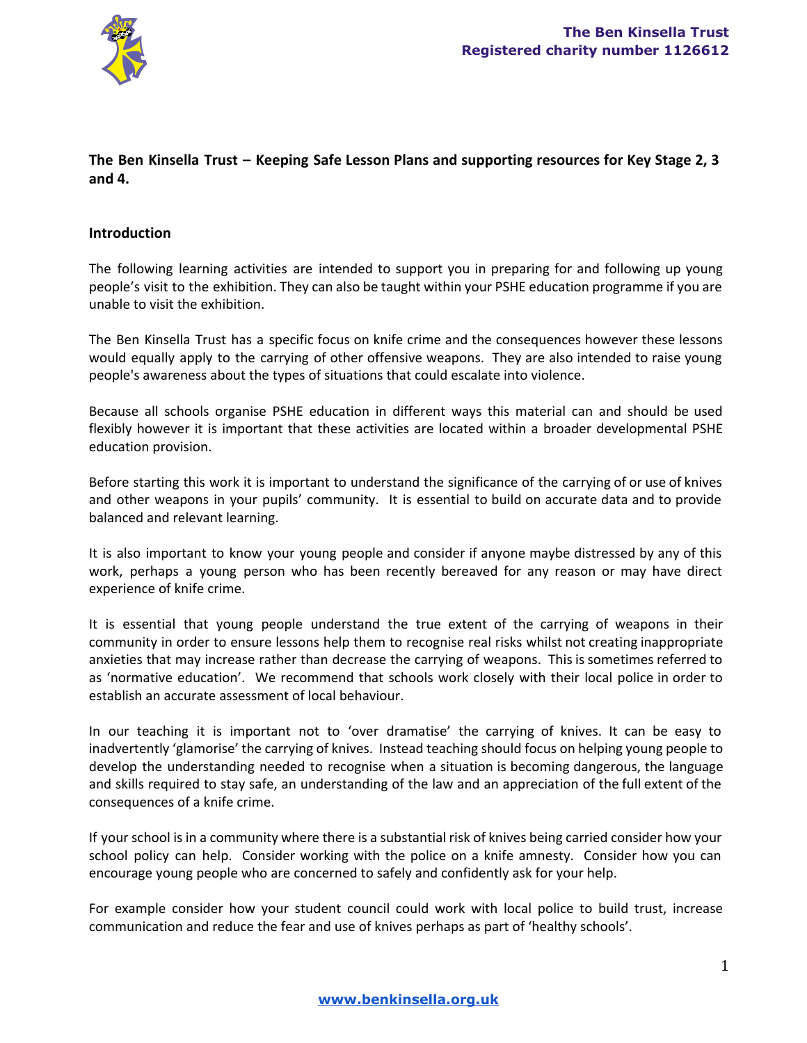

# **The Ben Kinsella Trust – Keeping Safe Lesson Plans and supporting resources for Key Stage 2, 3 and 4.**

### **Introduction**

The following learning activities are intended to support you in preparing for and following up young people's visit to the exhibition. They can also be taught within your PSHE education programme if you are unable to visit the exhibition.

The Ben Kinsella Trust has a specific focus on knife crime and the consequences however these lessons would equally apply to the carrying of other offensive weapons. They are also intended to raise young people's awareness about the types of situations that could escalate into violence.

Because all schools organise PSHE education in different ways this material can and should be used flexibly however it is important that these activities are located within a broader developmental PSHE education provision.

Before starting this work it is important to understand the significance of the carrying of or use of knives and other weapons in your pupils' community. It is essential to build on accurate data and to provide balanced and relevant learning.

It is also important to know your young people and consider if anyone maybe distressed by any of this work, perhaps a young person who has been recently bereaved for any reason or may have direct experience of knife crime.

It is essential that young people understand the true extent of the carrying of weapons in their community in order to ensure lessons help them to recognise real risks whilst not creating inappropriate anxieties that may increase rather than decrease the carrying of weapons. This is sometimes referred to as 'normative education'. We recommend that schools work closely with their local police in order to establish an accurate assessment of local behaviour.

In our teaching it is important not to 'over dramatise' the carrying of knives. It can be easy to inadvertently 'glamorise' the carrying of knives. Instead teaching should focus on helping young people to develop the understanding needed to recognise when a situation is becoming dangerous, the language and skills required to stay safe, an understanding of the law and an appreciation of the full extent of the consequences of a knife crime.

If your school is in a community where there is a substantial risk of knives being carried consider how your school policy can help. Consider working with the police on a knife amnesty. Consider how you can encourage young people who are concerned to safely and confidently ask for your help.

For example consider how your student council could work with local police to build trust, increase communication and reduce the fear and use of knives perhaps as part of 'healthy schools'.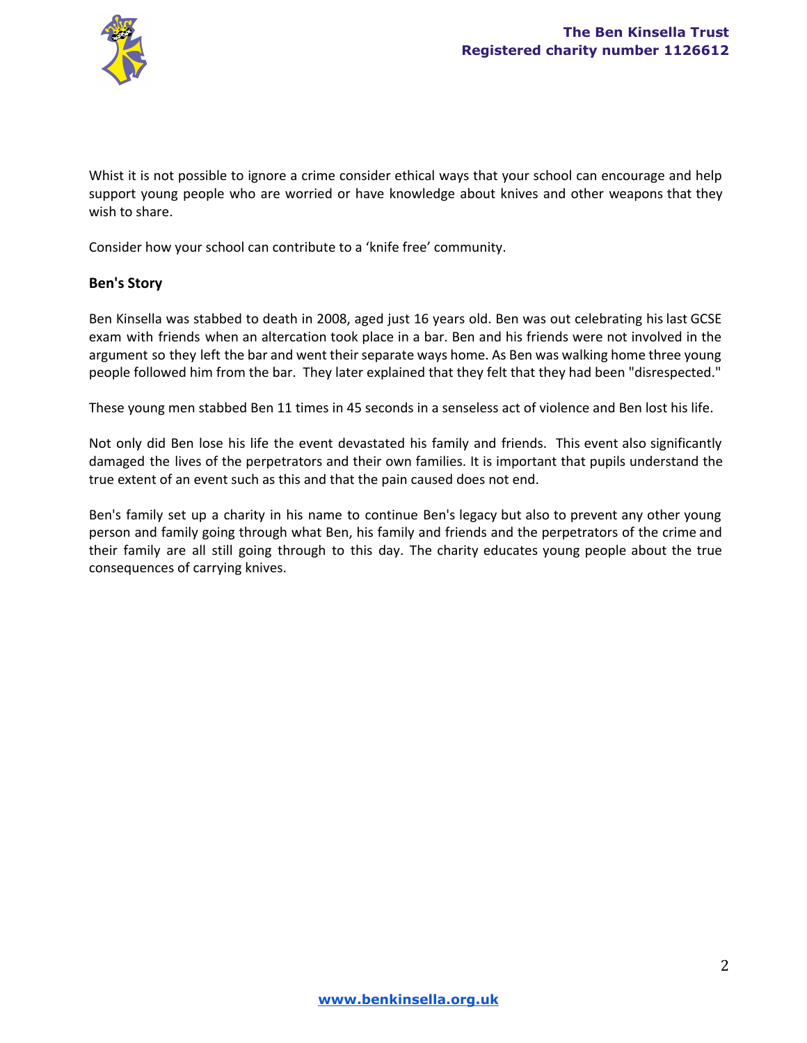

Whist it is not possible to ignore a crime consider ethical ways that your school can encourage and help support young people who are worried or have knowledge about knives and other weapons that they wish to share.

Consider how your school can contribute to a 'knife free' community.

## **Ben's Story**

Ben Kinsella was stabbed to death in 2008, aged just 16 years old. Ben was out celebrating his last GCSE exam with friends when an altercation took place in a bar. Ben and his friends were not involved in the argument so they left the bar and went their separate ways home. As Ben was walking home three young people followed him from the bar. They later explained that they felt that they had been "disrespected."

These young men stabbed Ben 11 times in 45 seconds in a senseless act of violence and Ben lost his life.

Not only did Ben lose his life the event devastated his family and friends. This event also significantly damaged the lives of the perpetrators and their own families. It is important that pupils understand the true extent of an event such as this and that the pain caused does not end.

Ben's family set up a charity in his name to continue Ben's legacy but also to prevent any other young person and family going through what Ben, his family and friends and the perpetrators of the crime and their family are all still going through to this day. The charity educates young people about the true consequences of carrying knives.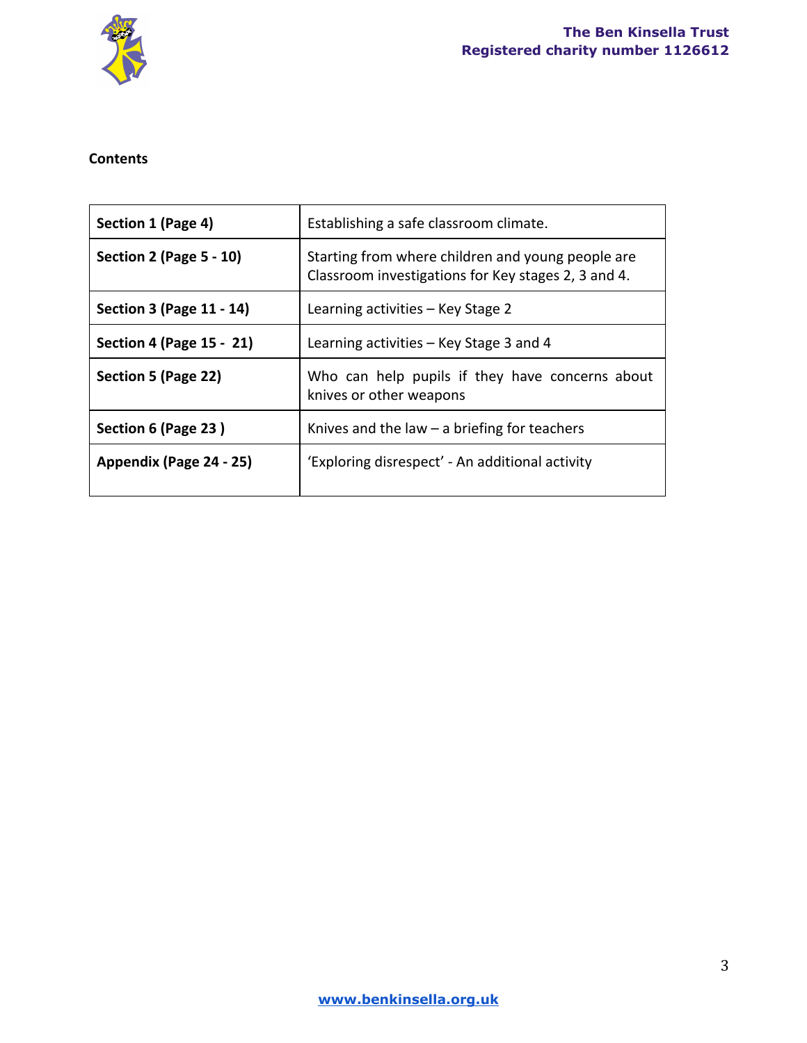

# **Contents**

| Section 1 (Page 4)             | Establishing a safe classroom climate.                                                                   |
|--------------------------------|----------------------------------------------------------------------------------------------------------|
| <b>Section 2 (Page 5 - 10)</b> | Starting from where children and young people are<br>Classroom investigations for Key stages 2, 3 and 4. |
| Section 3 (Page 11 - 14)       | Learning activities – Key Stage 2                                                                        |
| Section 4 (Page 15 - 21)       | Learning activities - Key Stage 3 and 4                                                                  |
| Section 5 (Page 22)            | Who can help pupils if they have concerns about<br>knives or other weapons                               |
| Section 6 (Page 23)            | Knives and the law $-$ a briefing for teachers                                                           |
| Appendix (Page 24 - 25)        | 'Exploring disrespect' - An additional activity                                                          |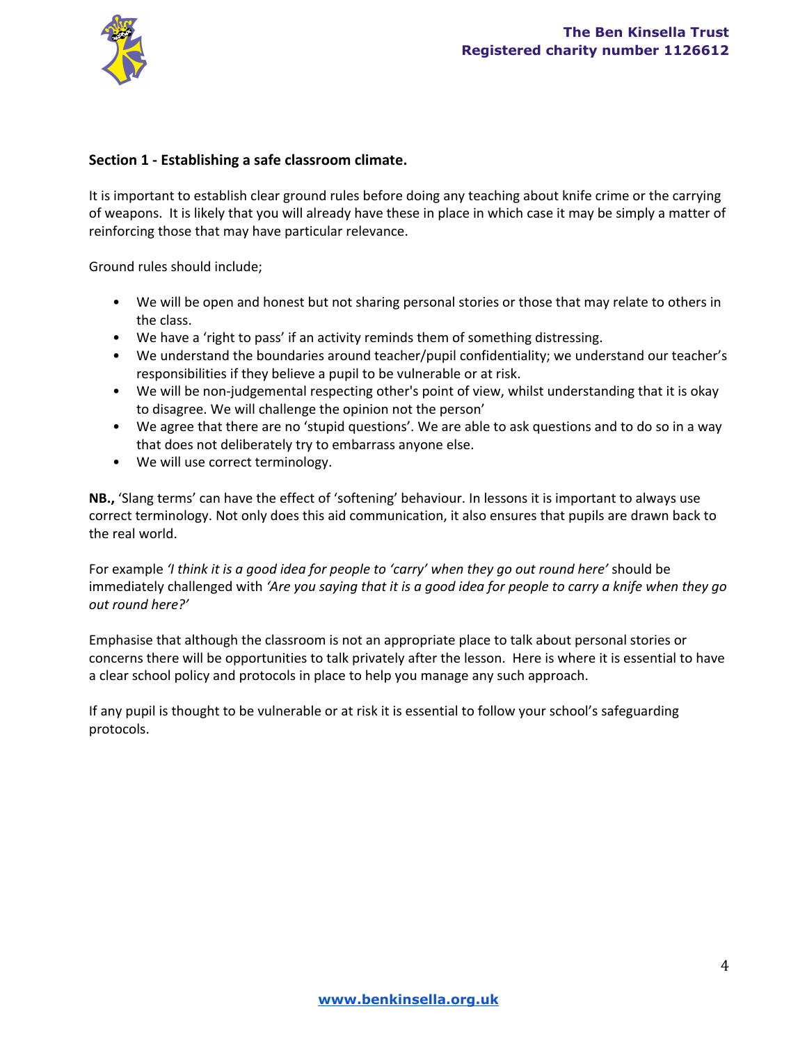

### **Section 1 Establishing a safe classroom climate.**

It is important to establish clear ground rules before doing any teaching about knife crime or the carrying of weapons. It is likely that you will already have these in place in which case it may be simply a matter of reinforcing those that may have particular relevance.

Ground rules should include;

- We will be open and honest but not sharing personal stories or those that may relate to others in the class.
- We have a 'right to pass' if an activity reminds them of something distressing.
- We understand the boundaries around teacher/pupil confidentiality; we understand our teacher's responsibilities if they believe a pupil to be vulnerable or at risk.
- We will be non-judgemental respecting other's point of view, whilst understanding that it is okay to disagree. We will challenge the opinion not the person'
- We agree that there are no 'stupid questions'. We are able to ask questions and to do so in a way that does not deliberately try to embarrass anyone else.
- We will use correct terminology.

**NB.,** 'Slang terms' can have the effect of 'softening' behaviour. In lessons it is important to always use correct terminology. Not only does this aid communication, it also ensures that pupils are drawn back to the real world.

For example *'I think it is a good idea for people to 'carry' when they go out round here'* should be immediately challenged with 'Are you saying that it is a good idea for people to carry a knife when they go *out round here?'*

Emphasise that although the classroom is not an appropriate place to talk about personal stories or concerns there will be opportunities to talk privately after the lesson. Here is where it is essential to have a clear school policy and protocols in place to help you manage any such approach.

If any pupil is thought to be vulnerable or at risk it is essential to follow your school's safeguarding protocols.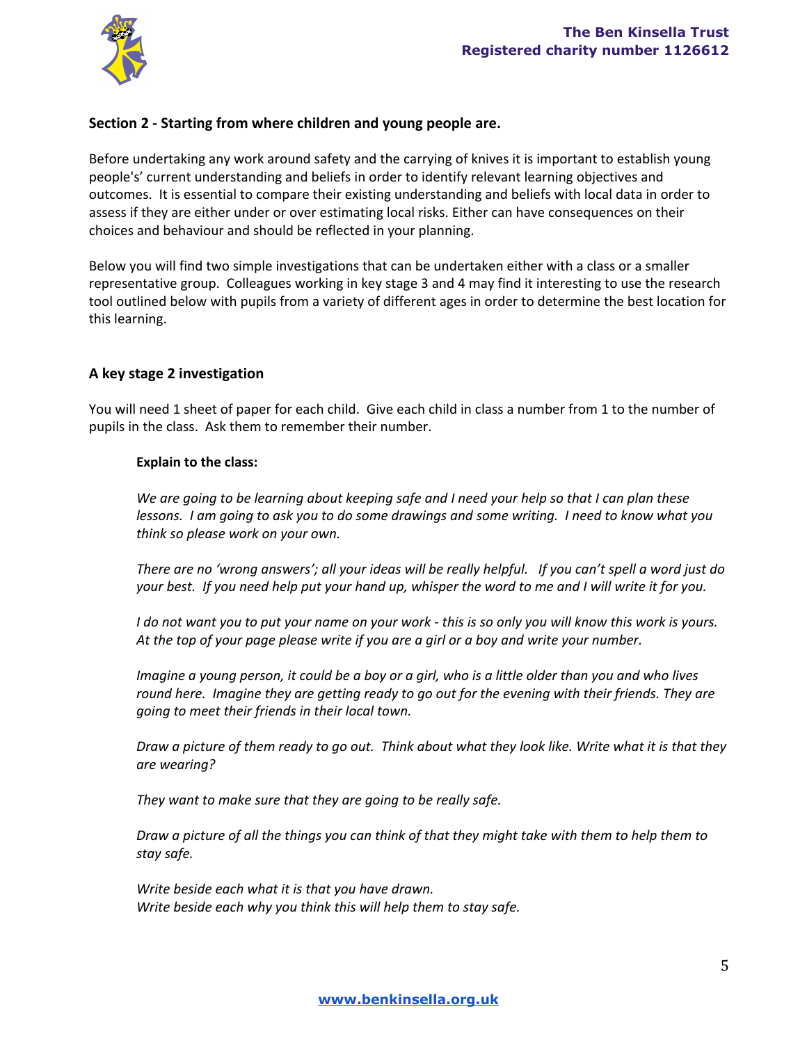

## **Section 2 Starting from where children and young people are.**

Before undertaking any work around safety and the carrying of knives it is important to establish young people's' current understanding and beliefs in order to identify relevant learning objectives and outcomes. It is essential to compare their existing understanding and beliefs with local data in order to assess if they are either under or over estimating local risks. Either can have consequences on their choices and behaviour and should be reflected in your planning.

Below you will find two simple investigations that can be undertaken either with a class or a smaller representative group. Colleagues working in key stage 3 and 4 may find it interesting to use the research tool outlined below with pupils from a variety of different ages in order to determine the best location for this learning.

### **A key stage 2 investigation**

You will need 1 sheet of paper for each child. Give each child in class a number from 1 to the number of pupils in the class. Ask them to remember their number.

#### **Explain to the class:**

We are going to be learning about keeping safe and I need your help so that I can plan these lessons. I am going to ask you to do some drawings and some writing. I need to know what you *think so please work on your own.*

There are no 'wrong answers'; all your ideas will be really helpful. If you can't spell a word just do your best. If you need help put your hand up, whisper the word to me and I will write it for you.

I do not want you to put your name on your work - this is so only you will know this work is yours. At the top of your page please write if you are a girl or a boy and write your number.

Imagine a young person, it could be a boy or a girl, who is a little older than you and who lives *round here. Imagine they are getting ready to go out for the evening with their friends. They are going to meet their friends in their local town.*

Draw a picture of them ready to go out. Think about what they look like. Write what it is that they *are wearing?*

*They want to make sure that they are going to be really safe.*

Draw a picture of all the things you can think of that they might take with them to help them to *stay safe.*

*Write beside each what it is that you have drawn. Write beside each why you think this will help them to stay safe.*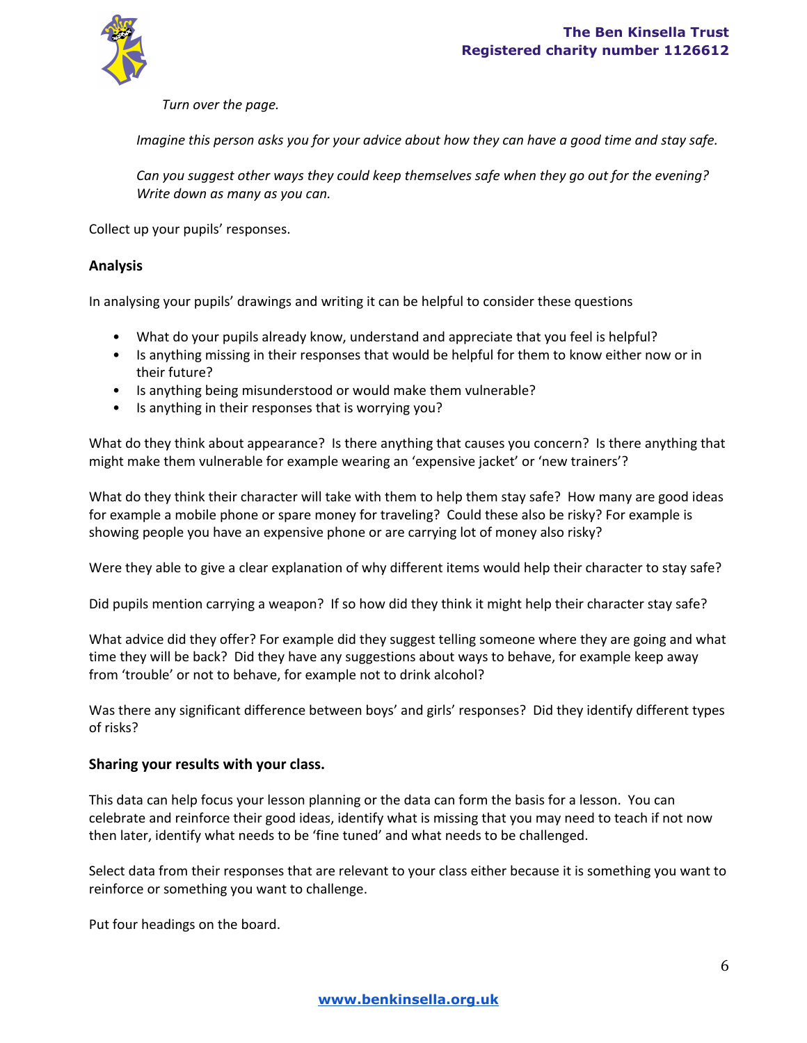

*Turn over the page.*

Imagine this person asks you for your advice about how they can have a good time and stay safe.

*Can you suggest other ways they could keep themselves safe when they go out for the evening? Write down as many as you can.*

Collect up your pupils' responses.

### **Analysis**

In analysing your pupils' drawings and writing it can be helpful to consider these questions

- What do your pupils already know, understand and appreciate that you feel is helpful?
- Is anything missing in their responses that would be helpful for them to know either now or in their future?
- Is anything being misunderstood or would make them vulnerable?
- Is anything in their responses that is worrying you?

What do they think about appearance? Is there anything that causes you concern? Is there anything that might make them vulnerable for example wearing an 'expensive jacket' or 'new trainers'?

What do they think their character will take with them to help them stay safe? How many are good ideas for example a mobile phone or spare money for traveling? Could these also be risky? For example is showing people you have an expensive phone or are carrying lot of money also risky?

Were they able to give a clear explanation of why different items would help their character to stay safe?

Did pupils mention carrying a weapon? If so how did they think it might help their character stay safe?

What advice did they offer? For example did they suggest telling someone where they are going and what time they will be back? Did they have any suggestions about ways to behave, for example keep away from 'trouble' or not to behave, for example not to drink alcohol?

Was there any significant difference between boys' and girls' responses? Did they identify different types of risks?

### **Sharing your results with your class.**

This data can help focus your lesson planning or the data can form the basis for a lesson. You can celebrate and reinforce their good ideas, identify what is missing that you may need to teach if not now then later, identify what needs to be 'fine tuned' and what needs to be challenged.

Select data from their responses that are relevant to your class either because it is something you want to reinforce or something you want to challenge.

Put four headings on the board.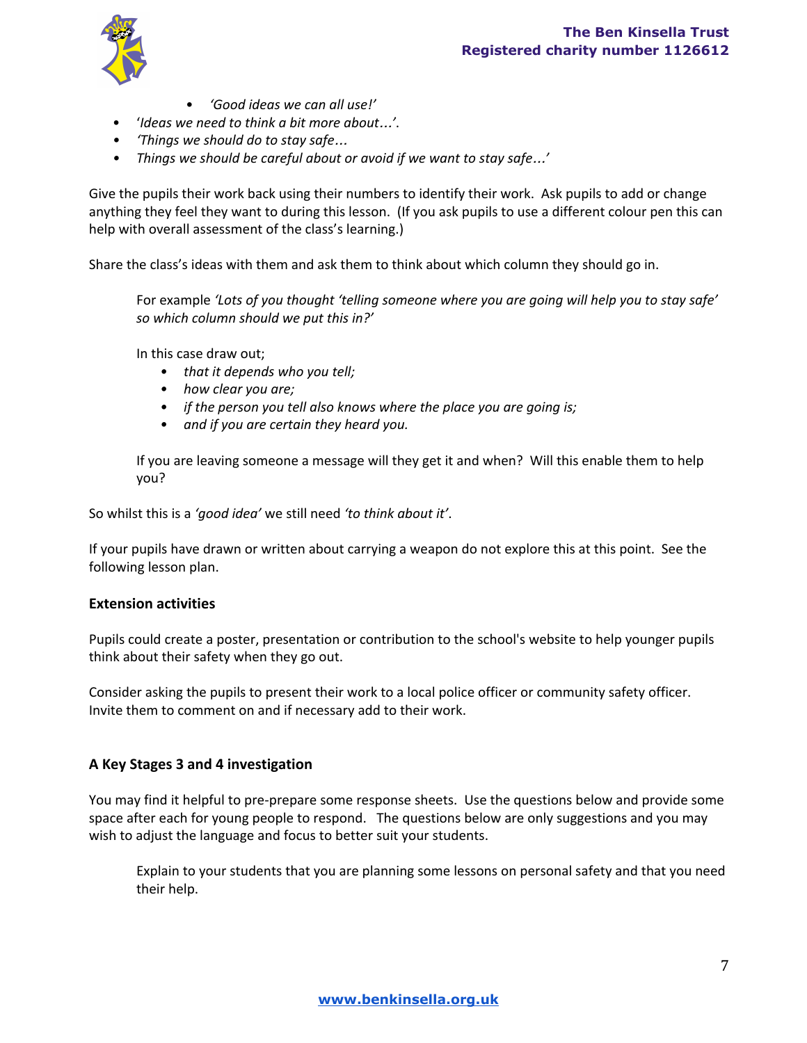

- *'Good ideas we can all use!'*
- '*Ideas we need to think a bit more about*…*'*.
- *• 'Things we should do to stay safe*…
- *• Things we should be careful about or avoid if we want to stay safe*…*'*

Give the pupils their work back using their numbers to identify their work. Ask pupils to add or change anything they feel they want to during this lesson. (If you ask pupils to use a different colour pen this can help with overall assessment of the class's learning.)

Share the class's ideas with them and ask them to think about which column they should go in.

For example *'Lots of you thought 'telling someone where you are going will help you to stay safe' so which column should we put this in?'*

In this case draw out;

- *• that it depends who you tell;*
- *• how clear you are;*
- *• if the person you tell also knows where the place you are going is;*
- *• and if you are certain they heard you.*

If you are leaving someone a message will they get it and when? Will this enable them to help you?

So whilst this is a *'good idea'* we still need *'to think about it'*.

If your pupils have drawn or written about carrying a weapon do not explore this at this point. See the following lesson plan.

### **Extension activities**

Pupils could create a poster, presentation or contribution to the school's website to help younger pupils think about their safety when they go out.

Consider asking the pupils to present their work to a local police officer or community safety officer. Invite them to comment on and if necessary add to their work.

## **A Key Stages 3 and 4 investigation**

You may find it helpful to pre-prepare some response sheets. Use the questions below and provide some space after each for young people to respond. The questions below are only suggestions and you may wish to adjust the language and focus to better suit your students.

Explain to your students that you are planning some lessons on personal safety and that you need their help.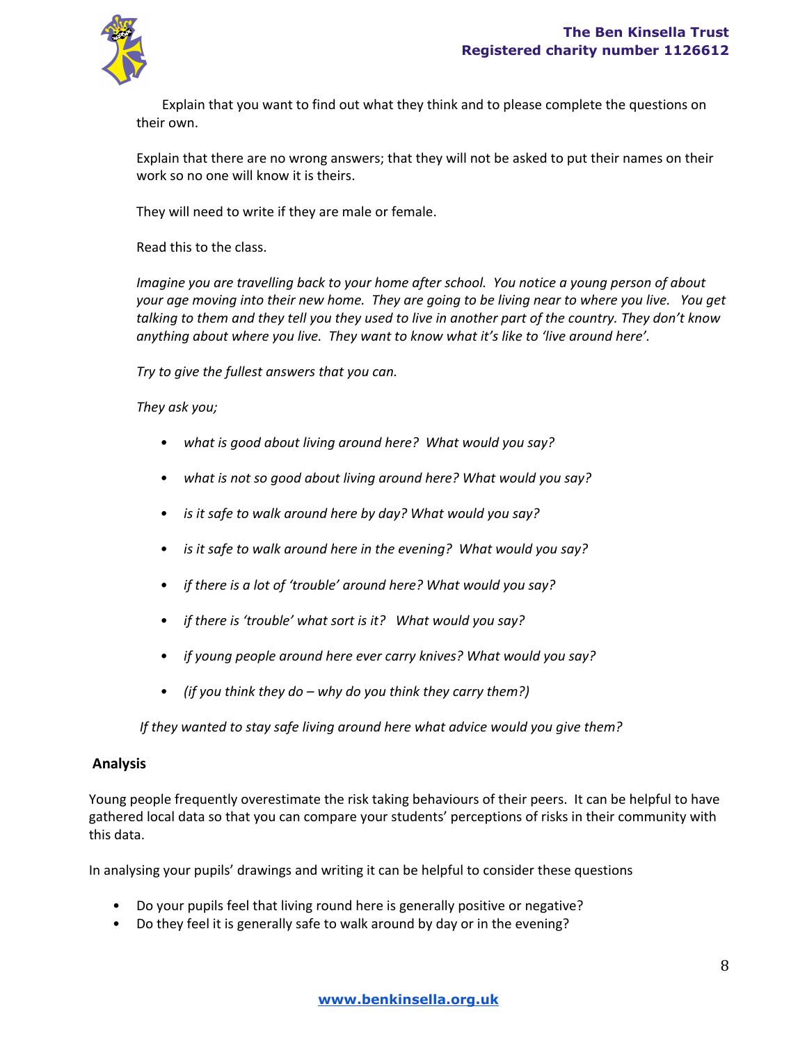

Explain that you want to find out what they think and to please complete the questions on their own.

Explain that there are no wrong answers; that they will not be asked to put their names on their work so no one will know it is theirs.

They will need to write if they are male or female.

Read this to the class.

*Imagine you are travelling back to your home after school. You notice a young person of about* your age moving into their new home. They are going to be living near to where you live. You get talking to them and they tell you they used to live in another part of the country. They don't know *anything about where you live. They want to know what it's like to 'live around here'.*

*Try to give the fullest answers that you can.*

*They ask you;*

- *• what is good about living around here? What would you say?*
- *• what is not so good about living around here? What would you say?*
- *• is it safe to walk around here by day? What would you say?*
- *• is it safe to walk around here in the evening? What would you say?*
- *• if there is a lot of 'trouble' around here? What would you say?*
- *• if there is 'trouble' what sort is it? What would you say?*
- *• if young people around here ever carry knives? What would you say?*
- *• (if you think they do – why do you think they carry them?)*

*If they wanted to stay safe living around here what advice would you give them?*

### **Analysis**

Young people frequently overestimate the risk taking behaviours of their peers. It can be helpful to have gathered local data so that you can compare your students' perceptions of risks in their community with this data.

In analysing your pupils' drawings and writing it can be helpful to consider these questions

- Do your pupils feel that living round here is generally positive or negative?
- Do they feel it is generally safe to walk around by day or in the evening?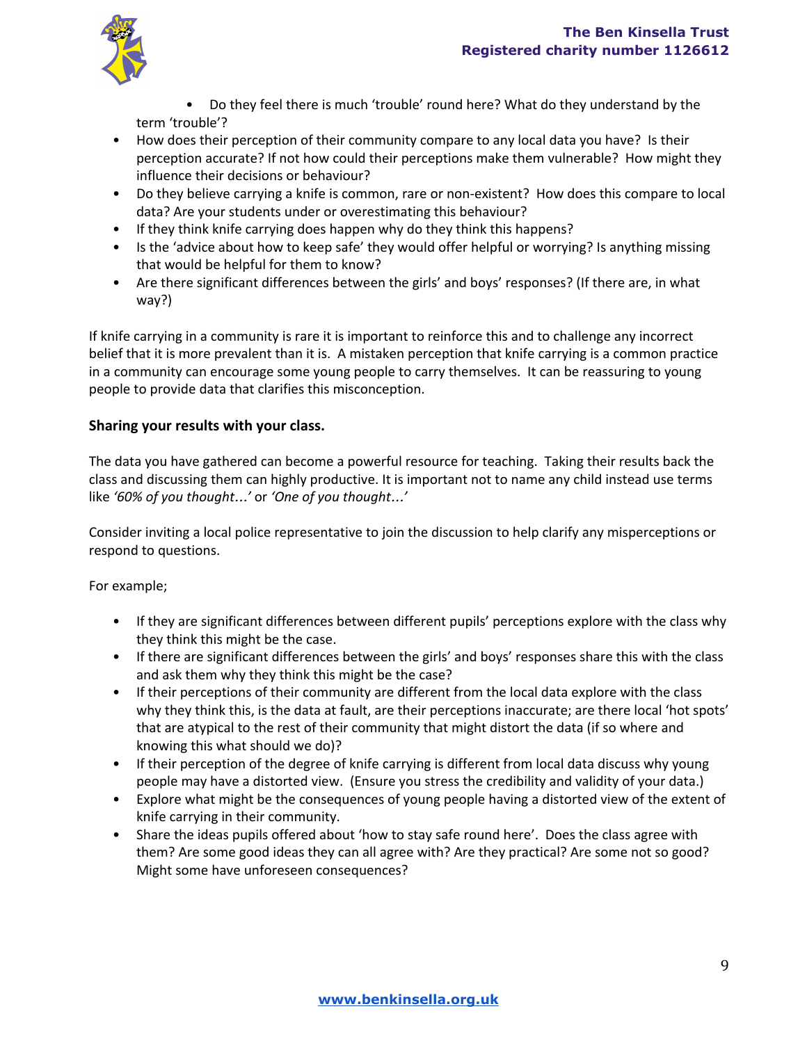

• Do they feel there is much 'trouble' round here? What do they understand by the term 'trouble'?

- How does their perception of their community compare to any local data you have? Is their perception accurate? If not how could their perceptions make them vulnerable? How might they influence their decisions or behaviour?
- Do they believe carrying a knife is common, rare or non-existent? How does this compare to local data? Are your students under or overestimating this behaviour?
- If they think knife carrying does happen why do they think this happens?
- Is the 'advice about how to keep safe' they would offer helpful or worrying? Is anything missing that would be helpful for them to know?
- Are there significant differences between the girls' and boys' responses? (If there are, in what way?)

If knife carrying in a community is rare it is important to reinforce this and to challenge any incorrect belief that it is more prevalent than it is. A mistaken perception that knife carrying is a common practice in a community can encourage some young people to carry themselves. It can be reassuring to young people to provide data that clarifies this misconception.

# **Sharing your results with your class.**

The data you have gathered can become a powerful resource for teaching. Taking their results back the class and discussing them can highly productive. It is important not to name any child instead use terms like *'60% of you thought*…*'* or *'One of you thought*…*'*

Consider inviting a local police representative to join the discussion to help clarify any misperceptions or respond to questions.

For example;

- If they are significant differences between different pupils' perceptions explore with the class why they think this might be the case.
- If there are significant differences between the girls' and boys' responses share this with the class and ask them why they think this might be the case?
- If their perceptions of their community are different from the local data explore with the class why they think this, is the data at fault, are their perceptions inaccurate; are there local 'hot spots' that are atypical to the rest of their community that might distort the data (if so where and knowing this what should we do)?
- If their perception of the degree of knife carrying is different from local data discuss why young people may have a distorted view. (Ensure you stress the credibility and validity of your data.)
- Explore what might be the consequences of young people having a distorted view of the extent of knife carrying in their community.
- Share the ideas pupils offered about 'how to stay safe round here'. Does the class agree with them? Are some good ideas they can all agree with? Are they practical? Are some not so good? Might some have unforeseen consequences?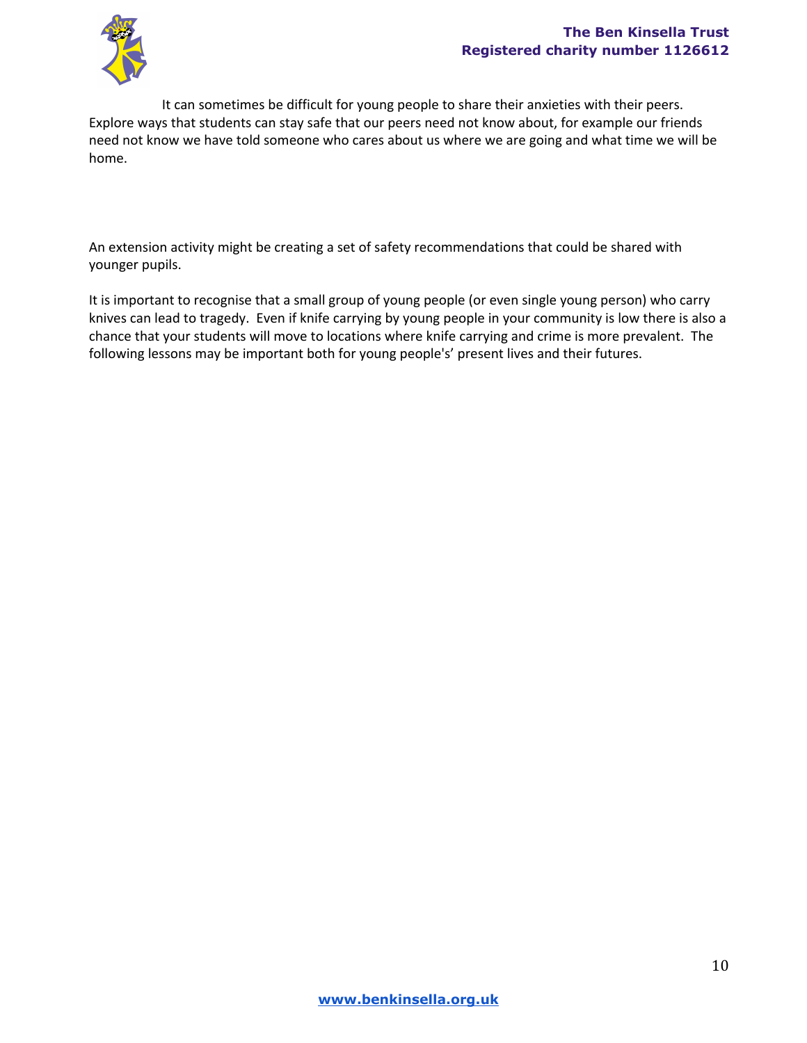

It can sometimes be difficult for young people to share their anxieties with their peers. Explore ways that students can stay safe that our peers need not know about, for example our friends need not know we have told someone who cares about us where we are going and what time we will be home.

An extension activity might be creating a set of safety recommendations that could be shared with younger pupils.

It is important to recognise that a small group of young people (or even single young person) who carry knives can lead to tragedy. Even if knife carrying by young people in your community is low there is also a chance that your students will move to locations where knife carrying and crime is more prevalent. The following lessons may be important both for young people's' present lives and their futures.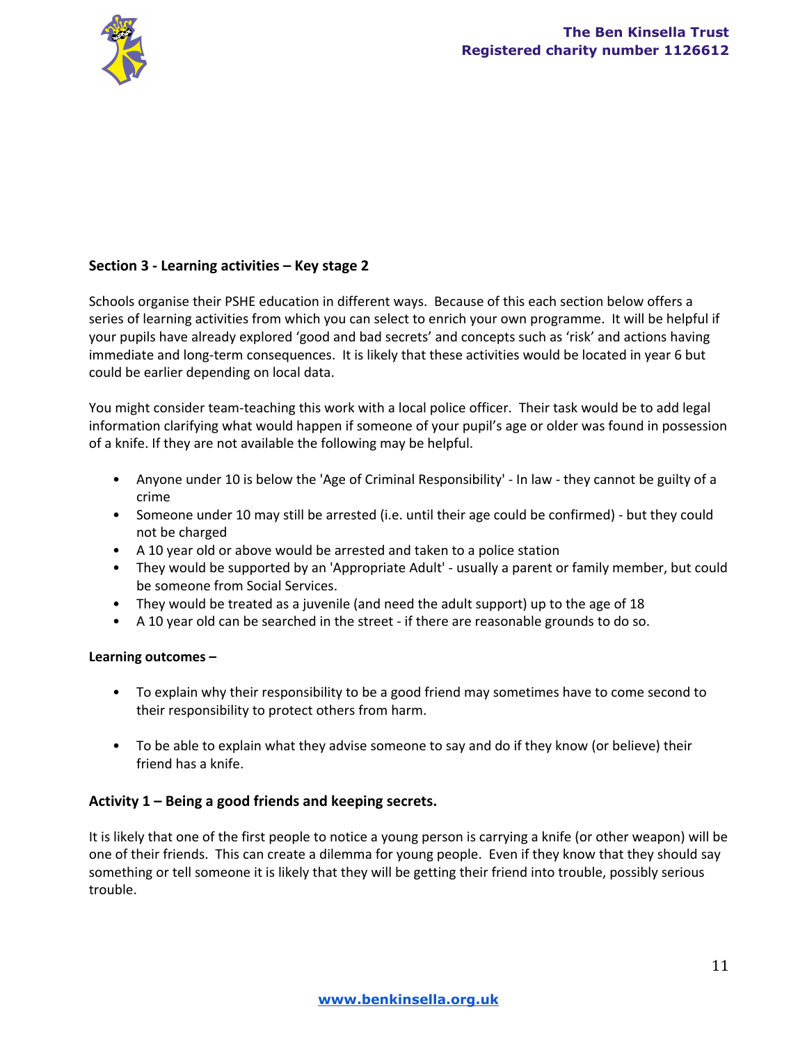

# **Section 3 Learning activities – Key stage 2**

Schools organise their PSHE education in different ways. Because of this each section below offers a series of learning activities from which you can select to enrich your own programme. It will be helpful if your pupils have already explored 'good and bad secrets' and concepts such as 'risk' and actions having immediate and long-term consequences. It is likely that these activities would be located in year 6 but could be earlier depending on local data.

You might consider team-teaching this work with a local police officer. Their task would be to add legal information clarifying what would happen if someone of your pupil's age or older was found in possession of a knife. If they are not available the following may be helpful.

- Anyone under 10 is below the 'Age of Criminal Responsibility' In law they cannot be guilty of a crime
- Someone under 10 may still be arrested (i.e. until their age could be confirmed) but they could not be charged
- A 10 year old or above would be arrested and taken to a police station
- They would be supported by an 'Appropriate Adult' usually a parent or family member, but could be someone from Social Services.
- They would be treated as a juvenile (and need the adult support) up to the age of 18
- A 10 year old can be searched in the street if there are reasonable grounds to do so.

### **Learning outcomes –**

- To explain why their responsibility to be a good friend may sometimes have to come second to their responsibility to protect others from harm.
- To be able to explain what they advise someone to say and do if they know (or believe) their friend has a knife.

## **Activity 1 – Being a good friends and keeping secrets.**

It is likely that one of the first people to notice a young person is carrying a knife (or other weapon) will be one of their friends. This can create a dilemma for young people. Even if they know that they should say something or tell someone it is likely that they will be getting their friend into trouble, possibly serious trouble.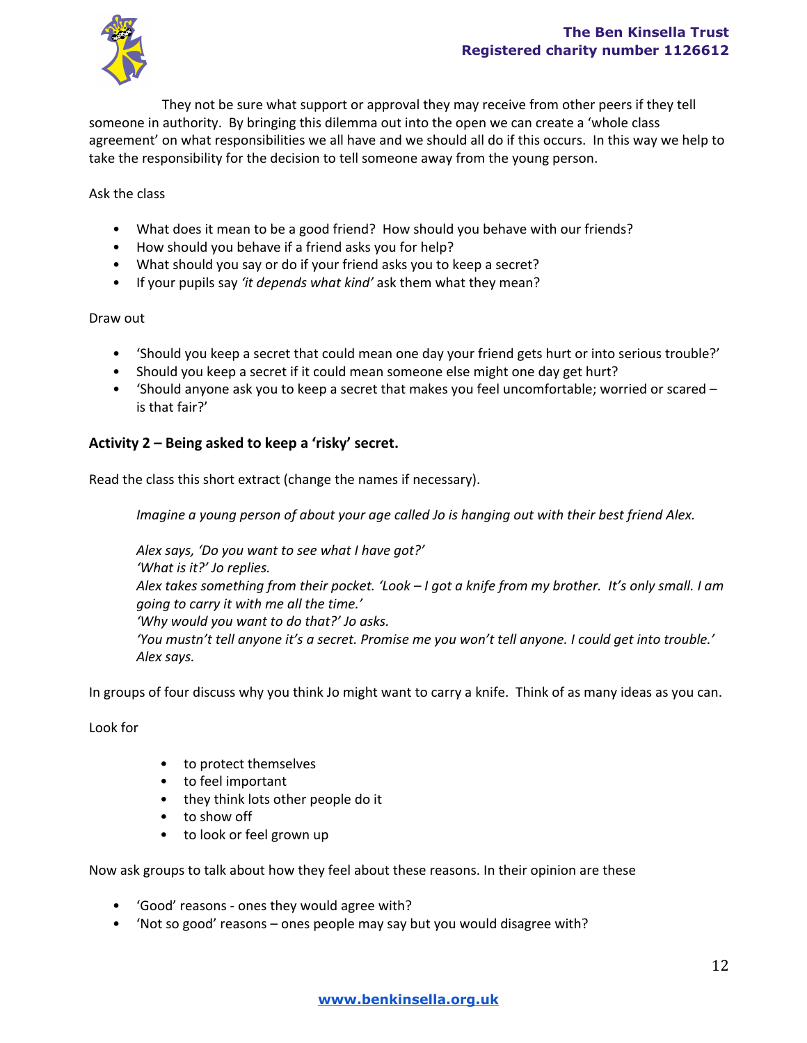

They not be sure what support or approval they may receive from other peers if they tell someone in authority. By bringing this dilemma out into the open we can create a 'whole class agreement' on what responsibilities we all have and we should all do if this occurs. In this way we help to take the responsibility for the decision to tell someone away from the young person.

### Ask the class

- What does it mean to be a good friend? How should you behave with our friends?
- How should you behave if a friend asks you for help?
- What should you say or do if your friend asks you to keep a secret?
- If your pupils say *'it depends what kind'* ask them what they mean?

### Draw out

- 'Should you keep a secret that could mean one day your friend gets hurt or into serious trouble?'
- Should you keep a secret if it could mean someone else might one day get hurt?
- 'Should anyone ask you to keep a secret that makes you feel uncomfortable; worried or scared is that fair?'

## **Activity 2 – Being asked to keep a 'risky' secret.**

Read the class this short extract (change the names if necessary).

*Imagine a young person of about your age called Jo is hanging out with their best friend Alex.*

*Alex says, 'Do you want to see what I have got?' 'What is it?' Jo replies.* Alex takes something from their pocket. 'Look - I got a knife from my brother. It's only small. I am *going to carry it with me all the time.' 'Why would you want to do that?' Jo asks.* 'You mustn't tell anyone it's a secret. Promise me you won't tell anyone. I could get into trouble.' *Alex says.*

In groups of four discuss why you think Jo might want to carry a knife. Think of as many ideas as you can.

Look for

- to protect themselves
- to feel important
- they think lots other people do it
- to show off
- to look or feel grown up

Now ask groups to talk about how they feel about these reasons. In their opinion are these

- 'Good' reasons ones they would agree with?
- 'Not so good' reasons ones people may say but you would disagree with?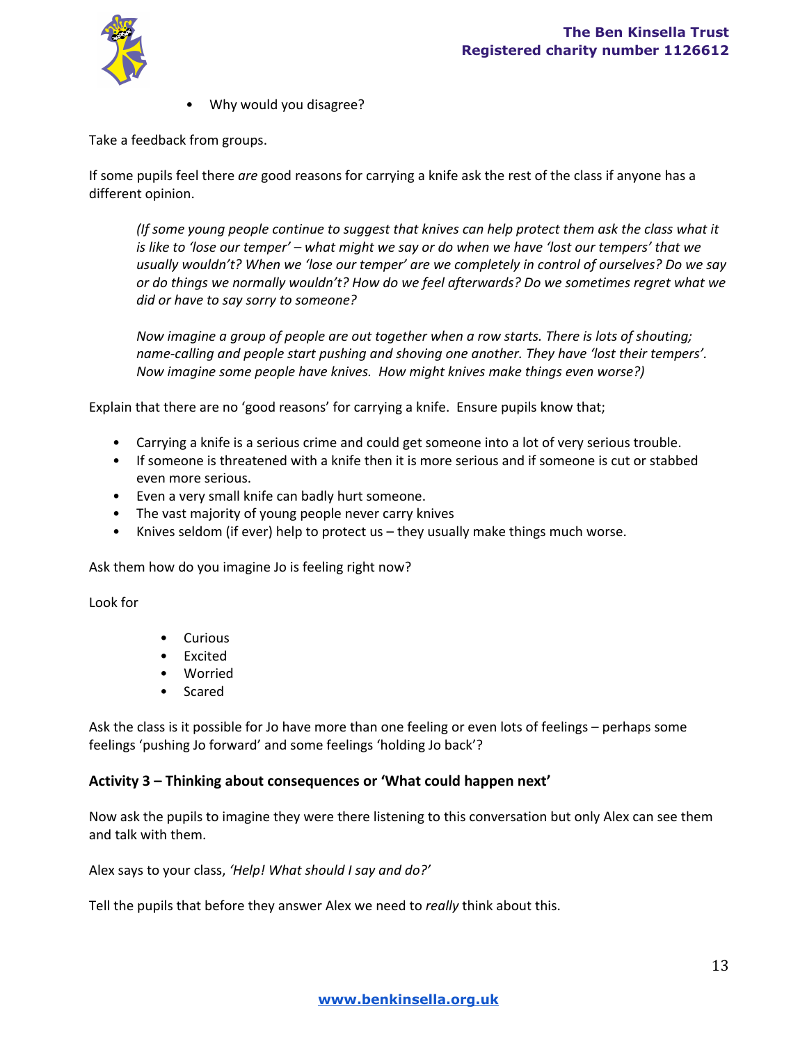

• Why would you disagree?

Take a feedback from groups.

If some pupils feel there *are* good reasons for carrying a knife ask the rest of the class if anyone has a different opinion.

*(If some young people continue to suggest that knives can help protect them ask the class what it* is like to 'lose our temper' – what might we say or do when we have 'lost our tempers' that we *usually wouldn't? When we 'lose our temper' are we completely in control of ourselves? Do we say or do things we normally wouldn't? How do we feel afterwards? Do we sometimes regret what we did or have to say sorry to someone?*

*Now imagine a group of people are out together when a row starts. There is lots of shouting; namecalling and people start pushing and shoving one another. They have 'lost their tempers'. Now imagine some people have knives. How might knives make things even worse?)*

Explain that there are no 'good reasons' for carrying a knife. Ensure pupils know that;

- Carrying a knife is a serious crime and could get someone into a lot of very serious trouble.
- If someone is threatened with a knife then it is more serious and if someone is cut or stabbed even more serious.
- Even a very small knife can badly hurt someone.
- The vast majority of young people never carry knives
- Knives seldom (if ever) help to protect us  $-$  they usually make things much worse.

Ask them how do you imagine Jo is feeling right now?

Look for

- Curious
- Excited
- Worried
- Scared

Ask the class is it possible for Jo have more than one feeling or even lots of feelings – perhaps some feelings 'pushing Jo forward' and some feelings 'holding Jo back'?

#### **Activity 3 – Thinking about consequences or 'What could happen next'**

Now ask the pupils to imagine they were there listening to this conversation but only Alex can see them and talk with them.

Alex says to your class, *'Help! What should I say and do?'*

Tell the pupils that before they answer Alex we need to *really* think about this.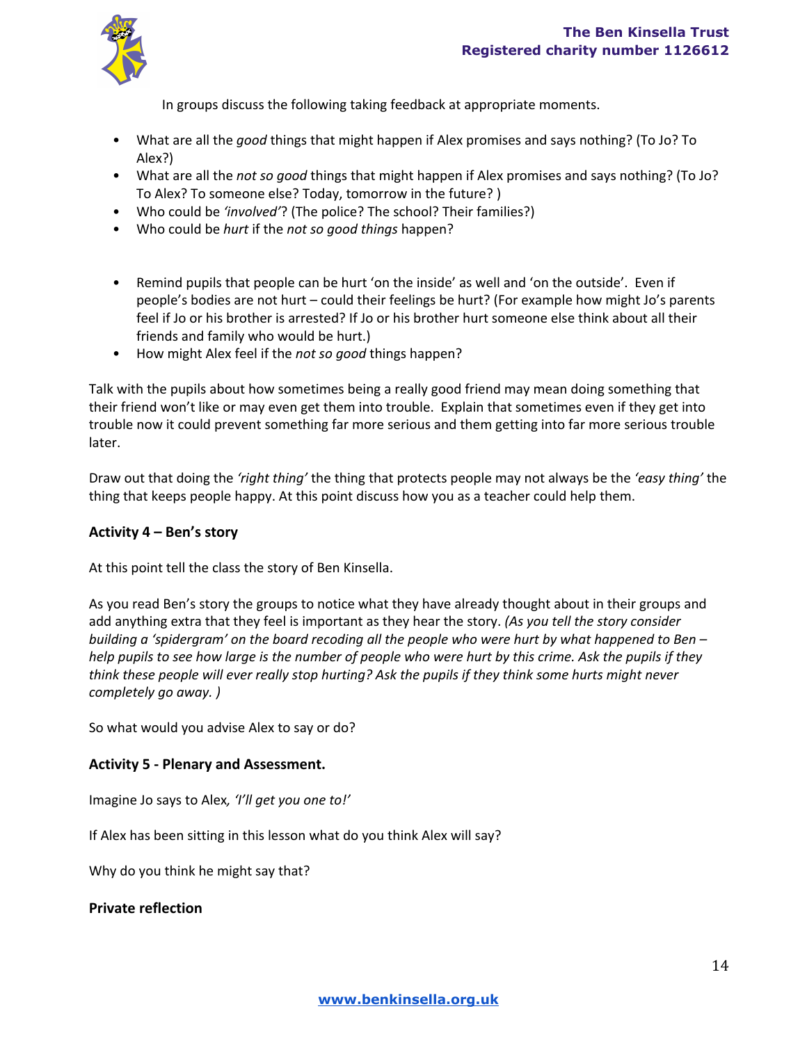In groups discuss the following taking feedback at appropriate moments.

- What are all the *good* things that might happen if Alex promises and says nothing? (To Jo? To Alex?)
- What are all the *not so good* things that might happen if Alex promises and says nothing? (To Jo? To Alex? To someone else? Today, tomorrow in the future? )
- Who could be *'involved'*? (The police? The school? Their families?)
- Who could be *hurt* if the *not so good things* happen?
- Remind pupils that people can be hurt 'on the inside' as well and 'on the outside'. Even if people's bodies are not hurt – could their feelings be hurt? (For example how might Jo's parents feel if Jo or his brother is arrested? If Jo or his brother hurt someone else think about all their friends and family who would be hurt.)
- How might Alex feel if the *not so good* things happen?

Talk with the pupils about how sometimes being a really good friend may mean doing something that their friend won't like or may even get them into trouble. Explain that sometimes even if they get into trouble now it could prevent something far more serious and them getting into far more serious trouble later.

Draw out that doing the *'right thing'* the thing that protects people may not always be the *'easy thing'* the thing that keeps people happy. At this point discuss how you as a teacher could help them.

## **Activity 4 – Ben's story**

At this point tell the class the story of Ben Kinsella.

As you read Ben's story the groups to notice what they have already thought about in their groups and add anything extra that they feel is important as they hear the story. *(As you tell the story consider* building a 'spidergram' on the board recoding all the people who were hurt by what happened to Ben – help pupils to see how large is the number of people who were hurt by this crime. Ask the pupils if they think these people will ever really stop hurting? Ask the pupils if they think some hurts might never *completely go away. )*

So what would you advise Alex to say or do?

## **Activity 5 Plenary and Assessment.**

Imagine Jo says to Alex*, 'I'll get you one to!'*

If Alex has been sitting in this lesson what do you think Alex will say?

Why do you think he might say that?

### **Private reflection**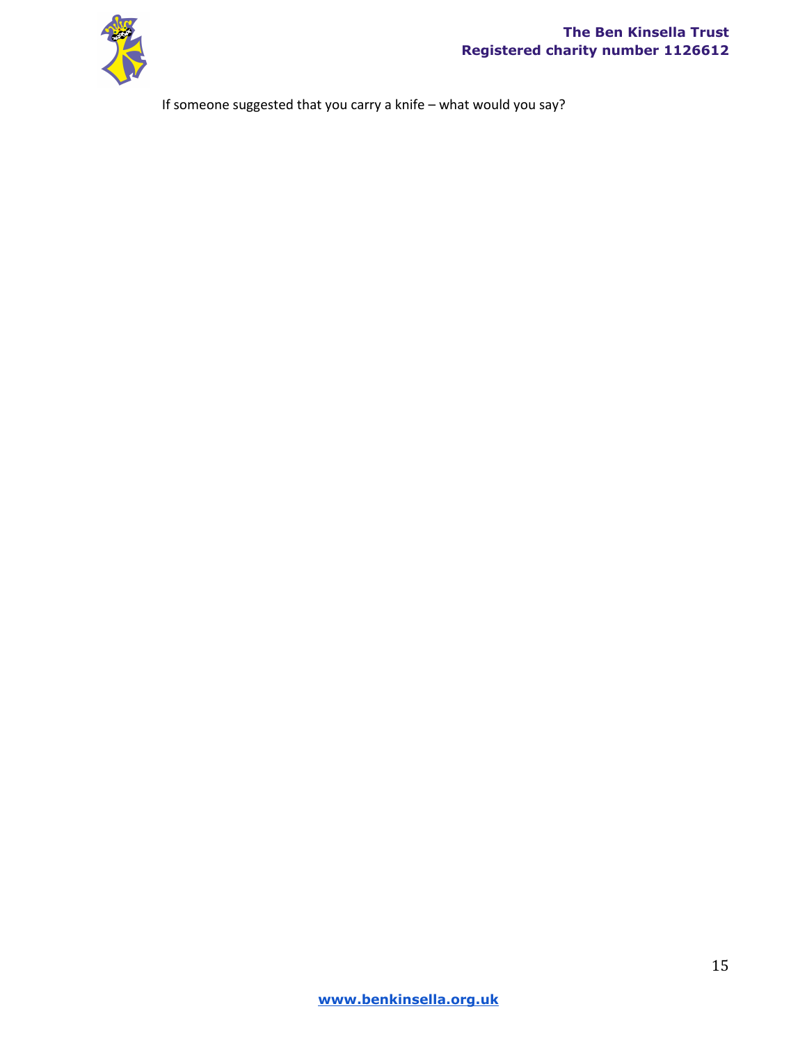

If someone suggested that you carry a knife – what would you say?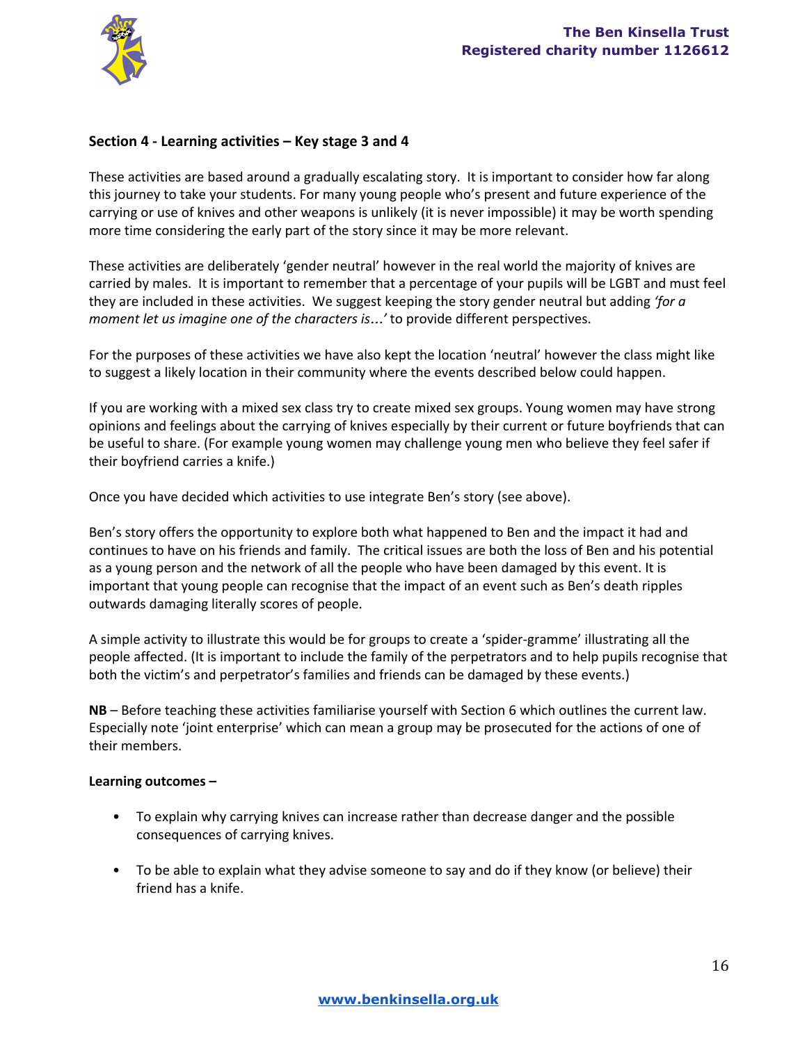

## **Section 4 Learning activities – Key stage 3 and 4**

These activities are based around a gradually escalating story. It is important to consider how far along this journey to take your students. For many young people who's present and future experience of the carrying or use of knives and other weapons is unlikely (it is never impossible) it may be worth spending more time considering the early part of the story since it may be more relevant.

These activities are deliberately 'gender neutral' however in the real world the majority of knives are carried by males. It is important to remember that a percentage of your pupils will be LGBT and must feel they are included in these activities. We suggest keeping the story gender neutral but adding *'for a moment let us imagine one of the characters is*…*'* to provide different perspectives.

For the purposes of these activities we have also kept the location 'neutral' however the class might like to suggest a likely location in their community where the events described below could happen.

If you are working with a mixed sex class try to create mixed sex groups. Young women may have strong opinions and feelings about the carrying of knives especially by their current or future boyfriends that can be useful to share. (For example young women may challenge young men who believe they feel safer if their boyfriend carries a knife.)

Once you have decided which activities to use integrate Ben's story (see above).

Ben's story offers the opportunity to explore both what happened to Ben and the impact it had and continues to have on his friends and family. The critical issues are both the loss of Ben and his potential as a young person and the network of all the people who have been damaged by this event. It is important that young people can recognise that the impact of an event such as Ben's death ripples outwards damaging literally scores of people.

A simple activity to illustrate this would be for groups to create a 'spider-gramme' illustrating all the people affected. (It is important to include the family of the perpetrators and to help pupils recognise that both the victim's and perpetrator's families and friends can be damaged by these events.)

**NB**– Before teaching these activities familiarise yourself with Section 6 which outlines the current law. Especially note 'joint enterprise' which can mean a group may be prosecuted for the actions of one of their members.

#### **Learning outcomes –**

- To explain why carrying knives can increase rather than decrease danger and the possible consequences of carrying knives.
- To be able to explain what they advise someone to say and do if they know (or believe) their friend has a knife.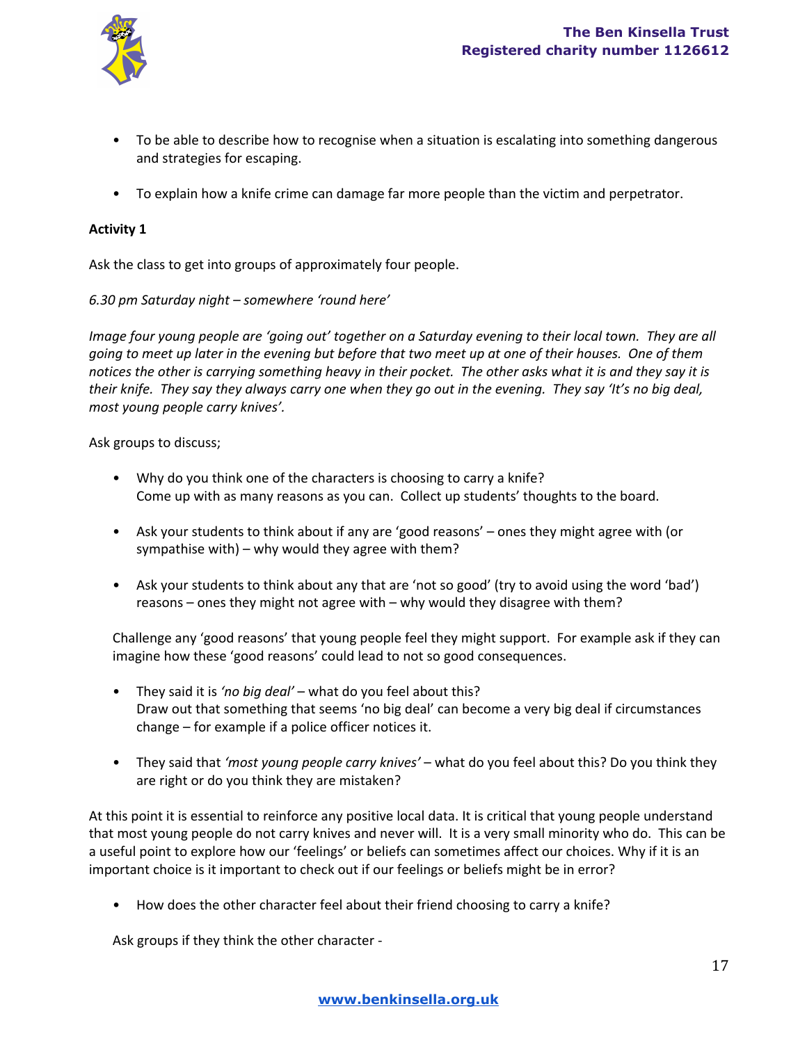

- To be able to describe how to recognise when a situation is escalating into something dangerous and strategies for escaping.
- To explain how a knife crime can damage far more people than the victim and perpetrator.

## **Activity 1**

Ask the class to get into groups of approximately four people.

*6.30 pm Saturday night – somewhere 'round here'*

Image four young people are 'going out' together on a Saturday evening to their local town. They are all going to meet up later in the evening but before that two meet up at one of their houses. One of them notices the other is carrying something heavy in their pocket. The other asks what it is and they say it is their knife. They say they always carry one when they go out in the evening. They say 'It's no big deal, *most young people carry knives'.*

Ask groups to discuss;

- Why do you think one of the characters is choosing to carry a knife? Come up with as many reasons as you can. Collect up students' thoughts to the board.
- Ask your students to think about if any are 'good reasons' ones they might agree with (or sympathise with) – why would they agree with them?
- Ask your students to think about any that are 'not so good' (try to avoid using the word 'bad') reasons – ones they might not agree with – why would they disagree with them?

Challenge any 'good reasons' that young people feel they might support. For example ask if they can imagine how these 'good reasons' could lead to not so good consequences.

- They said it is *'no big deal'* what do you feel about this? Draw out that something that seems 'no big deal' can become a very big deal if circumstances change – for example if a police officer notices it.
- They said that *'most young people carry knives'* what do you feel about this? Do you think they are right or do you think they are mistaken?

At this point it is essential to reinforce any positive local data. It is critical that young people understand that most young people do not carry knives and never will. It is a very small minority who do. This can be a useful point to explore how our 'feelings' or beliefs can sometimes affect our choices. Why if it is an important choice is it important to check out if our feelings or beliefs might be in error?

• How does the other character feel about their friend choosing to carry a knife?

Ask groups if they think the other character -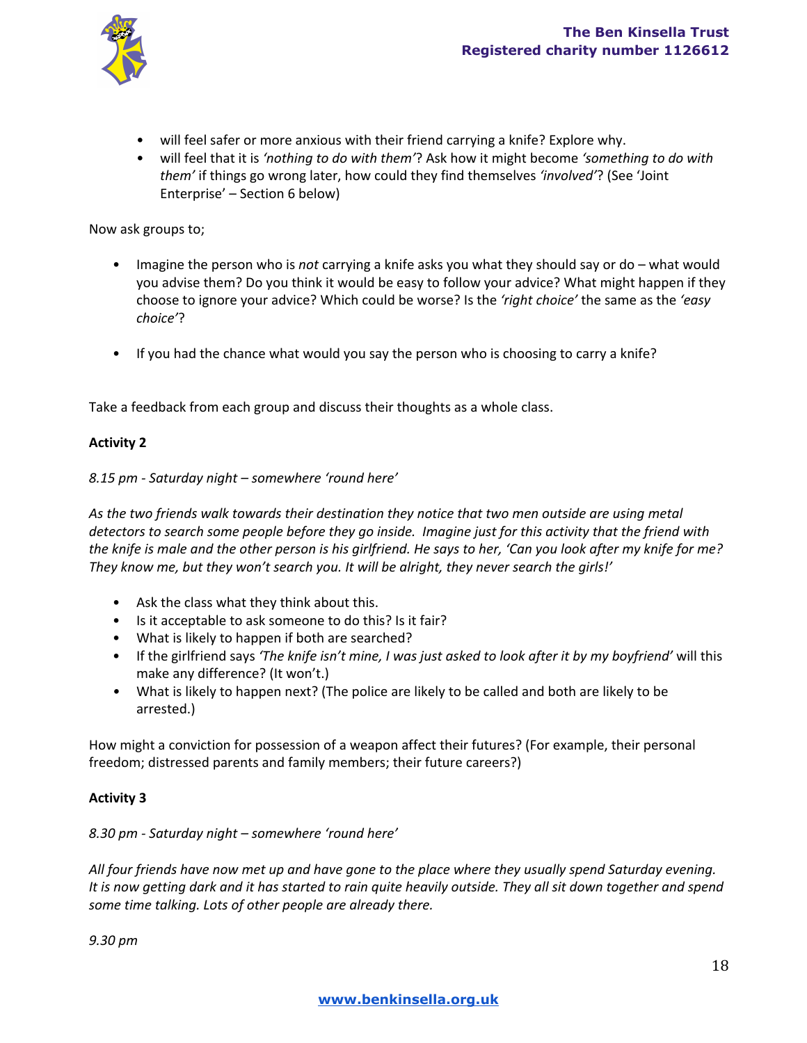

- will feel safer or more anxious with their friend carrying a knife? Explore why.
- will feel that it is *'nothing to do with them'*? Ask how it might become *'something to do with them'* if things go wrong later, how could they find themselves *'involved'*? (See 'Joint Enterprise' – Section 6 below)

Now ask groups to;

- Imagine the person who is *not* carrying a knife asks you what they should say or do what would you advise them? Do you think it would be easy to follow your advice? What might happen if they choose to ignore your advice? Which could be worse? Is the *'right choice'* the same as the *'easy choice'*?
- If you had the chance what would you say the person who is choosing to carry a knife?

Take a feedback from each group and discuss their thoughts as a whole class.

#### **Activity 2**

#### *8.15 pm Saturday night – somewhere 'round here'*

*As the two friends walk towards their destination they notice that two men outside are using metal* detectors to search some people before they go inside. Imagine just for this activity that the friend with the knife is male and the other person is his girlfriend. He says to her, 'Can you look after my knife for me? *They know me, but they won't search you. It will be alright, they never search the girls!'*

- Ask the class what they think about this.
- Is it acceptable to ask someone to do this? Is it fair?
- What is likely to happen if both are searched?
- If the girlfriend says *'The knife isn't mine, I was just asked to look after it by my boyfriend'* will this make any difference? (It won't.)
- *•* What is likely to happen next? (The police are likely to be called and both are likely to be arrested.)

How might a conviction for possession of a weapon affect their futures? (For example, their personal freedom; distressed parents and family members; their future careers?)

### **Activity 3**

# *8.30 pm Saturday night – somewhere 'round here'*

All four friends have now met up and have gone to the place where they usually spend Saturday evening. It is now getting dark and it has started to rain quite heavily outside. They all sit down together and spend *some time talking. Lots of other people are already there.*

*9.30 pm*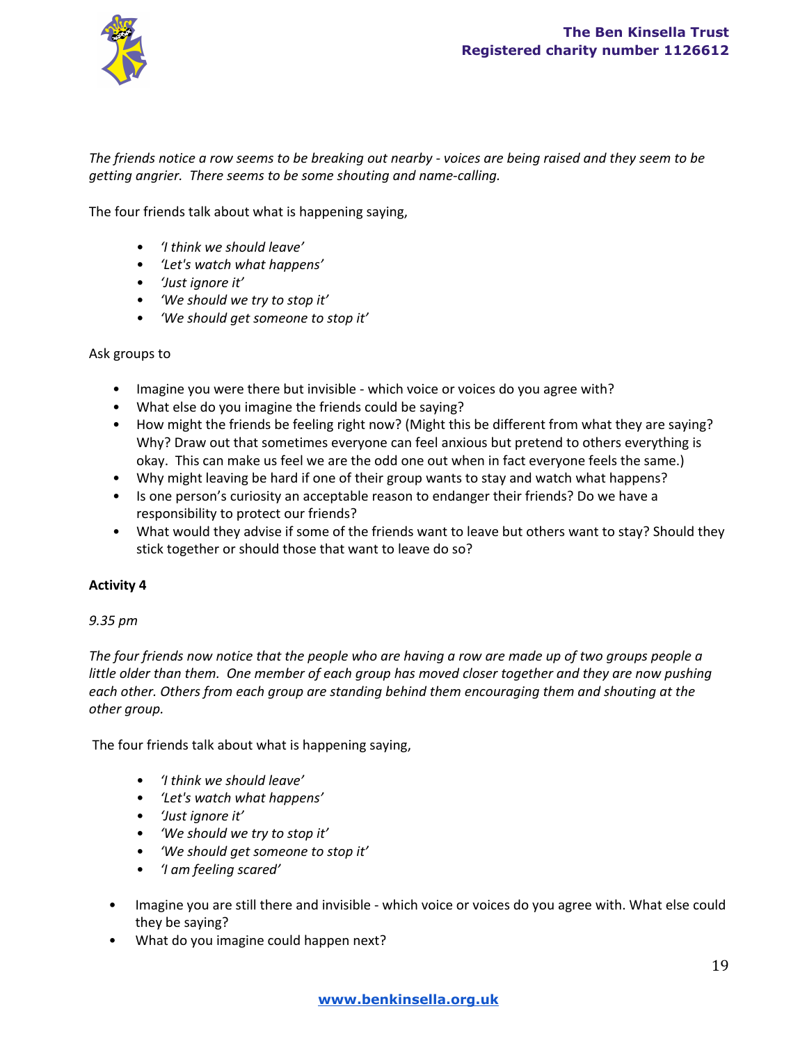

The friends notice a row seems to be breaking out nearby - voices are being raised and they seem to be *getting angrier. There seems to be some shouting and namecalling.*

The four friends talk about what is happening saying,

- *'I think we should leave'*
- *'Let's watch what happens'*
- *'Just ignore it'*
- *'We should we try to stop it'*
- *'We should get someone to stop it'*

Ask groups to

- Imagine you were there but invisible which voice or voices do you agree with?
- What else do you imagine the friends could be saying?
- How might the friends be feeling right now? (Might this be different from what they are saying? Why? Draw out that sometimes everyone can feel anxious but pretend to others everything is okay. This can make us feel we are the odd one out when in fact everyone feels the same.)
- Why might leaving be hard if one of their group wants to stay and watch what happens?
- Is one person's curiosity an acceptable reason to endanger their friends? Do we have a responsibility to protect our friends?
- What would they advise if some of the friends want to leave but others want to stay? Should they stick together or should those that want to leave do so?

### **Activity 4**

### *9.35 pm*

The four friends now notice that the people who are having a row are made up of two groups people a little older than them. One member of each group has moved closer together and they are now pushing *each other. Others from each group are standing behind them encouraging them and shouting at the other group.*

The four friends talk about what is happening saying,

- *'I think we should leave'*
- *'Let's watch what happens'*
- *'Just ignore it'*
- *'We should we try to stop it'*
- *'We should get someone to stop it'*
- *'I am feeling scared'*
- Imagine you are still there and invisible which voice or voices do you agree with. What else could they be saying?
- What do you imagine could happen next?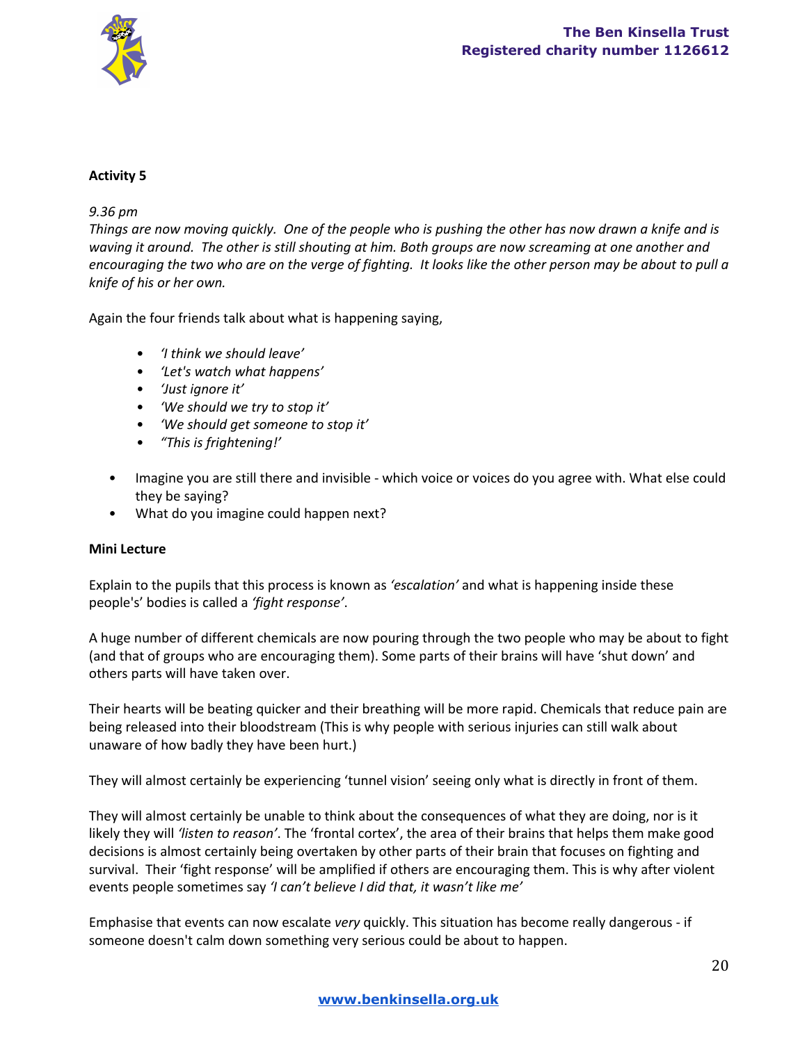

### **Activity 5**

### *9.36 pm*

Things are now moving quickly. One of the people who is pushing the other has now drawn a knife and is waving it around. The other is still shouting at him. Both groups are now screaming at one another and encouraging the two who are on the verge of fighting. It looks like the other person may be about to pull a *knife of his or her own.*

Again the four friends talk about what is happening saying,

- *'I think we should leave'*
- *'Let's watch what happens'*
- *'Just ignore it'*
- *'We should we try to stop it'*
- *'We should get someone to stop it'*
- *"This is frightening!'*
- Imagine you are still there and invisible which voice or voices do you agree with. What else could they be saying?
- What do you imagine could happen next?

### **Mini Lecture**

Explain to the pupils that this process is known as *'escalation'* and what is happening inside these people's' bodies is called a *'fight response'*.

A huge number of different chemicals are now pouring through the two people who may be about to fight (and that of groups who are encouraging them). Some parts of their brains will have 'shut down' and others parts will have taken over.

Their hearts will be beating quicker and their breathing will be more rapid. Chemicals that reduce pain are being released into their bloodstream (This is why people with serious injuries can still walk about unaware of how badly they have been hurt.)

They will almost certainly be experiencing 'tunnel vision' seeing only what is directly in front of them.

They will almost certainly be unable to think about the consequences of what they are doing, nor is it likely they will *'listen to reason'*. The 'frontal cortex', the area of their brains that helps them make good decisions is almost certainly being overtaken by other parts of their brain that focuses on fighting and survival. Their 'fight response' will be amplified if others are encouraging them. This is why after violent events people sometimes say *'I can't believe I did that, it wasn't like me'*

Emphasise that events can now escalate *very* quickly. This situation has become really dangerous if someone doesn't calm down something very serious could be about to happen.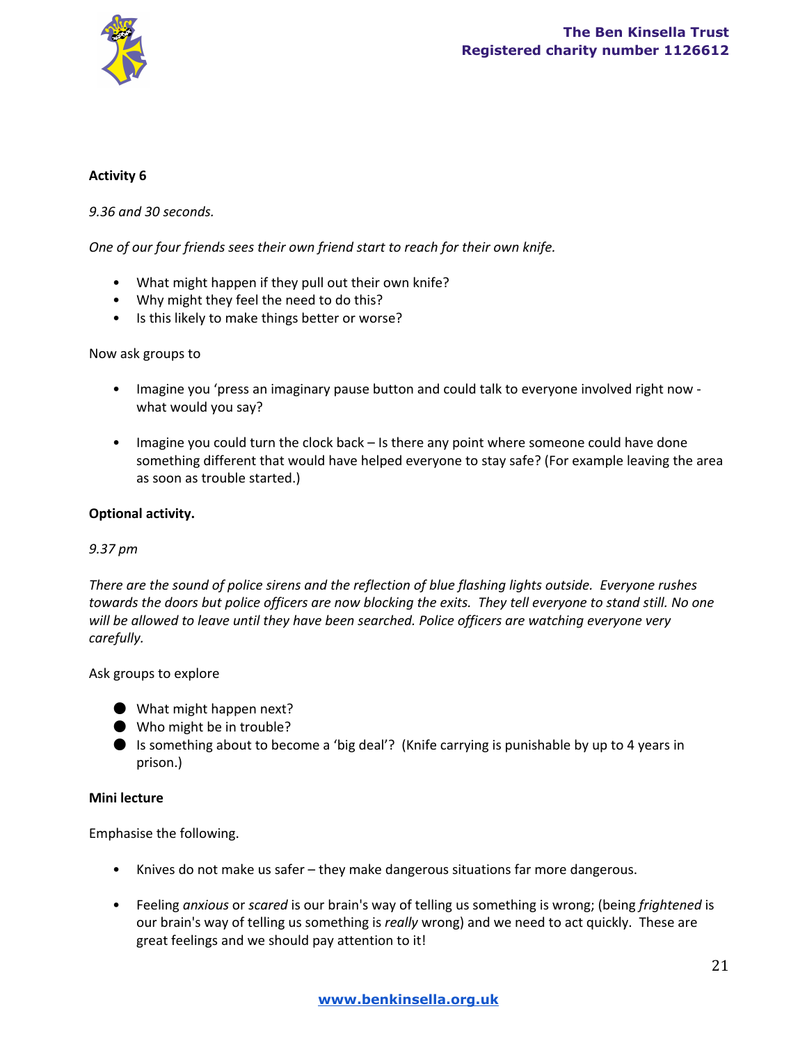

## **Activity 6**

### *9.36 and 30 seconds.*

*One of our four friends sees their own friend start to reach for their own knife.*

- What might happen if they pull out their own knife?
- Why might they feel the need to do this?
- Is this likely to make things better or worse?

### Now ask groups to

- Imagine you 'press an imaginary pause button and could talk to everyone involved right now what would you say?
- Imagine you could turn the clock back Is there any point where someone could have done something different that would have helped everyone to stay safe? (For example leaving the area as soon as trouble started.)

### **Optional activity.**

### *9.37 pm*

*There are the sound of police sirens and the reflection of blue flashing lights outside. Everyone rushes* towards the doors but police officers are now blocking the exits. They tell everyone to stand still. No one *will be allowed to leave until they have been searched. Police officers are watching everyone very carefully.*

### Ask groups to explore

- What might happen next?
- Who might be in trouble?
- Is something about to become a 'big deal'? (Knife carrying is punishable by up to 4 years in prison.)

### **Mini lecture**

Emphasise the following.

- Knives do not make us safer they make dangerous situations far more dangerous.
- Feeling *anxious* or *scared* is our brain's way of telling us something is wrong; (being *frightened* is our brain's way of telling us something is *really* wrong) and we need to act quickly. These are great feelings and we should pay attention to it!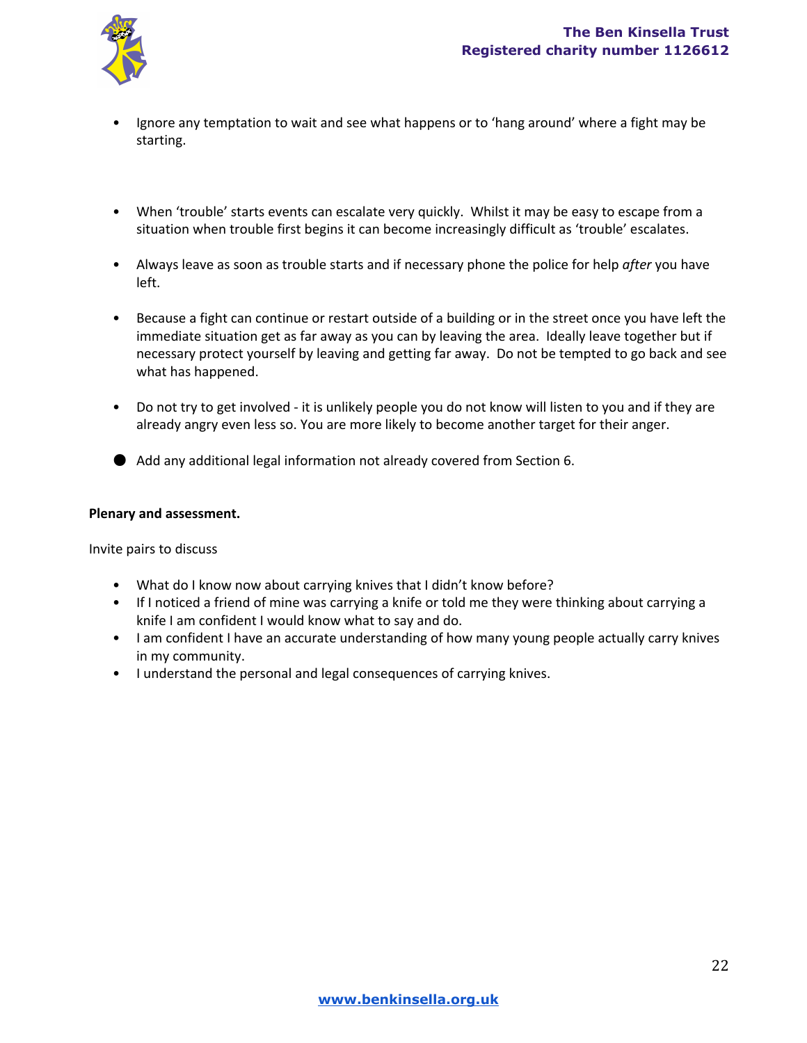

- Ignore any temptation to wait and see what happens or to 'hang around' where a fight may be starting.
- When 'trouble' starts events can escalate very quickly. Whilst it may be easy to escape from a situation when trouble first begins it can become increasingly difficult as 'trouble' escalates.
- Always leave as soon as trouble starts and if necessary phone the police for help *after* you have left.
- Because a fight can continue or restart outside of a building or in the street once you have left the immediate situation get as far away as you can by leaving the area. Ideally leave together but if necessary protect yourself by leaving and getting far away. Do not be tempted to go back and see what has happened.
- Do not try to get involved it is unlikely people you do not know will listen to you and if they are already angry even less so. You are more likely to become another target for their anger.
- Add any additional legal information not already covered from Section 6.

#### **Plenary and assessment.**

Invite pairs to discuss

- What do I know now about carrying knives that I didn't know before?
- If I noticed a friend of mine was carrying a knife or told me they were thinking about carrying a knife I am confident I would know what to say and do.
- I am confident I have an accurate understanding of how many young people actually carry knives in my community.
- I understand the personal and legal consequences of carrying knives.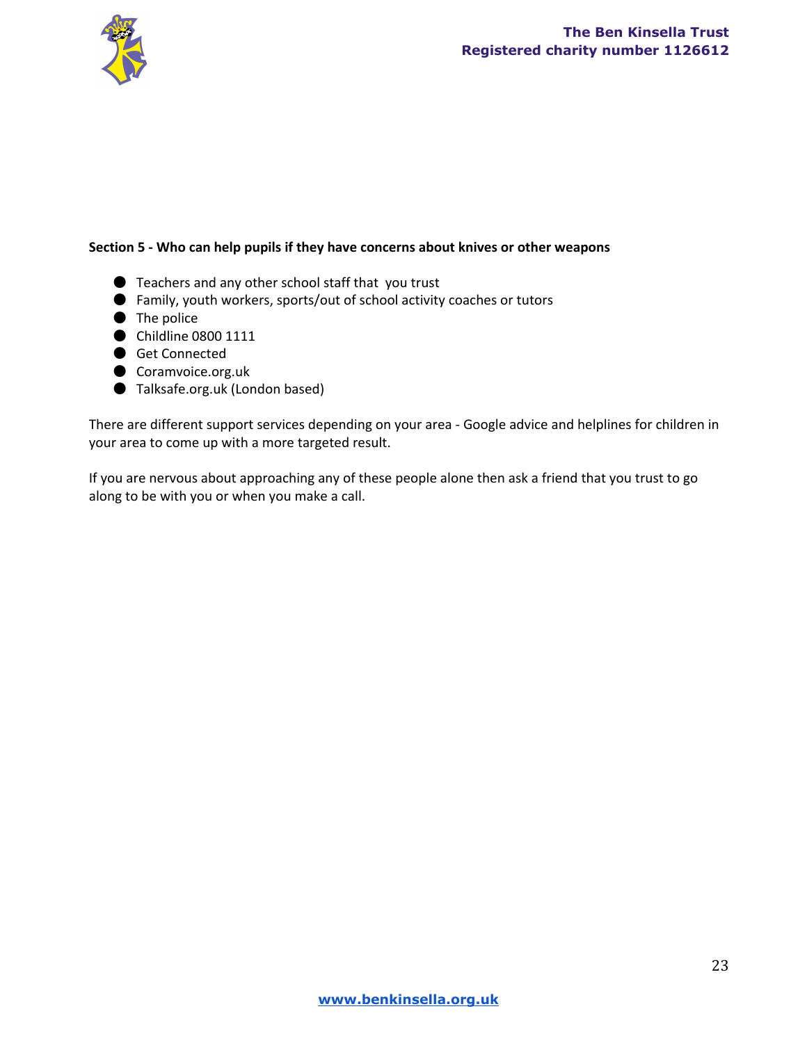

### **Section 5 Who can help pupils if they have concerns about knives or other weapons**

- Teachers and any other school staff that you trust
- Family, youth workers, sports/out of school activity coaches or tutors
- The police
- Childline 0800 1111
- Get Connected
- Coramvoice.org.uk
- Talksafe.org.uk (London based)

There are different support services depending on your area - Google advice and helplines for children in your area to come up with a more targeted result.

If you are nervous about approaching any of these people alone then ask a friend that you trust to go along to be with you or when you make a call.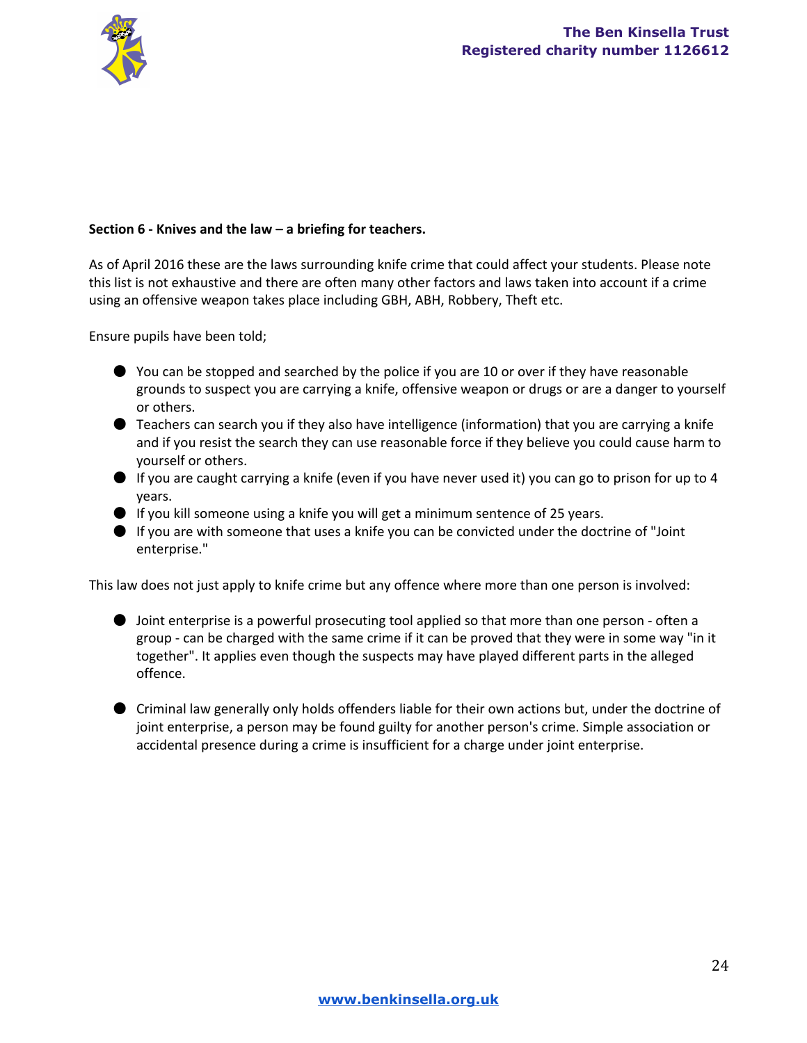

### **Section 6 Knives and the law – a briefing for teachers.**

As of April 2016 these are the laws surrounding knife crime that could affect your students. Please note this list is not exhaustive and there are often many other factors and laws taken into account if a crime using an offensive weapon takes place including GBH, ABH, Robbery, Theft etc.

Ensure pupils have been told;

- $\bullet$  You can be stopped and searched by the police if you are 10 or over if they have reasonable grounds to suspect you are carrying a knife, offensive weapon or drugs or are a danger to yourself or others.
- Teachers can search you if they also have intelligence (information) that you are carrying a knife and if you resist the search they can use reasonable force if they believe you could cause harm to yourself or others.
- $\bullet$  If you are caught carrying a knife (even if you have never used it) you can go to prison for up to 4 years.
- If you kill someone using a knife you will get a minimum sentence of 25 years.
- If you are with someone that uses a knife you can be convicted under the doctrine of "Joint enterprise."

This law does not just apply to knife crime but any offence where more than one person is involved:

- Joint enterprise is a powerful prosecuting tool applied so that more than one person often a group can be charged with the same crime if it can be proved that they were in some way "in it together". It applies even though the suspects may have played different parts in the alleged offence.
- Criminal law generally only holds offenders liable for their own actions but, under the doctrine of joint enterprise, a person may be found guilty for another person's crime. Simple association or accidental presence during a crime is insufficient for a charge under joint enterprise.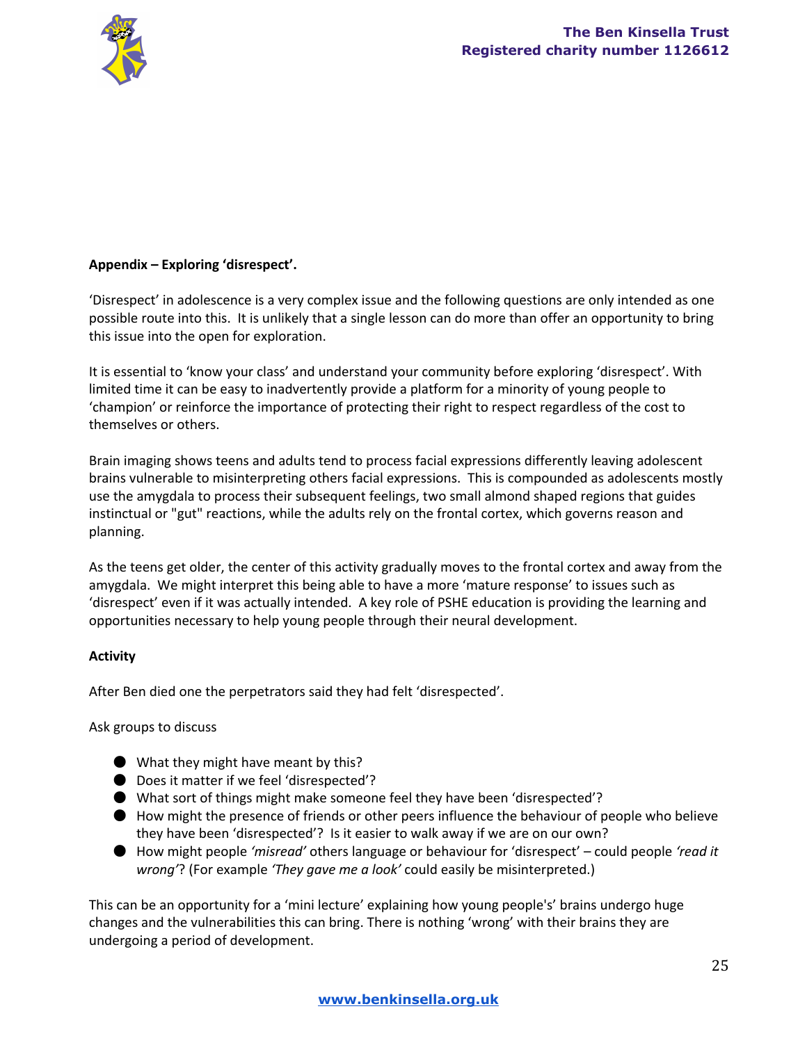

## **Appendix – Exploring 'disrespect'.**

'Disrespect' in adolescence is a very complex issue and the following questions are only intended as one possible route into this. It is unlikely that a single lesson can do more than offer an opportunity to bring this issue into the open for exploration.

It is essential to 'know your class' and understand your community before exploring 'disrespect'. With limited time it can be easy to inadvertently provide a platform for a minority of young people to 'champion' or reinforce the importance of protecting their right to respect regardless of the cost to themselves or others.

Brain imaging shows teens and adults tend to process facial expressions differently leaving adolescent brains vulnerable to misinterpreting others facial expressions. This is compounded as adolescents mostly use the amygdala to process their subsequent feelings, two small almond shaped regions that guides instinctual or "gut" reactions, while the adults rely on the frontal cortex, which governs reason and planning.

As the teens get older, the center of this activity gradually moves to the frontal cortex and away from the amygdala. We might interpret this being able to have a more 'mature response' to issues such as 'disrespect' even if it was actually intended. A key role of PSHE education is providing the learning and opportunities necessary to help young people through their neural development.

## **Activity**

After Ben died one the perpetrators said they had felt 'disrespected'.

Ask groups to discuss

- What they might have meant by this?
- Does it matter if we feel 'disrespected'?
- What sort of things might make someone feel they have been 'disrespected'?
- How might the presence of friends or other peers influence the behaviour of people who believe they have been 'disrespected'? Is it easier to walk away if we are on our own?
- How might people *'misread'* others language or behaviour for 'disrespect' could people *'read it wrong'*? (For example *'They gave me a look'* could easily be misinterpreted.)

This can be an opportunity for a 'mini lecture' explaining how young people's' brains undergo huge changes and the vulnerabilities this can bring. There is nothing 'wrong' with their brains they are undergoing a period of development.